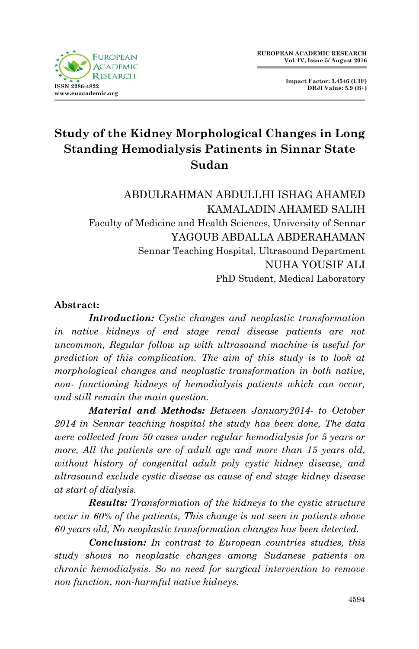

**Impact Factor: 3.4546 (UIF) DRJI Value: 5.9 (B+)**

# **Study of the Kidney Morphological Changes in Long Standing Hemodialysis Patinents in Sinnar State Sudan**

ABDULRAHMAN ABDULLHI ISHAG AHAMED KAMALADIN AHAMED SALIH Faculty of Medicine and Health Sciences, University of Sennar YAGOUB ABDALLA ABDERAHAMAN Sennar Teaching Hospital, Ultrasound Department NUHA YOUSIF ALI PhD Student, Medical Laboratory

#### **Abstract:**

*Introduction: Cystic changes and neoplastic transformation in native kidneys of end stage renal disease patients are not uncommon, Regular follow up with ultrasound machine is useful for prediction of this complication. The aim of this study is to look at morphological changes and neoplastic transformation in both native, non- functioning kidneys of hemodialysis patients which can occur, and still remain the main question.*

*Material and Methods: Between January2014- to October 2014 in Sennar teaching hospital the study has been done, The data were collected from 50 cases under regular hemodialysis for 5 years or more, All the patients are of adult age and more than 15 years old, without history of congenital adult poly cystic kidney disease, and ultrasound exclude cystic disease as cause of end stage kidney disease at start of dialysis.*

*Results: Transformation of the kidneys to the cystic structure occur in 60% of the patients, This change is not seen in patients above 60 years old, No neoplastic transformation changes has been detected.*

*Conclusion: In contrast to European countries studies, this study shows no neoplastic changes among Sudanese patients on chronic hemodialysis. So no need for surgical intervention to remove non function, non-harmful native kidneys.*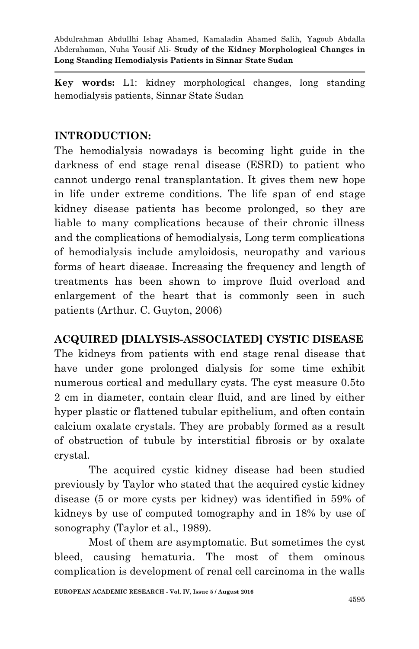**Key words:** L1: kidney morphological changes, long standing hemodialysis patients, Sinnar State Sudan

## **INTRODUCTION:**

The hemodialysis nowadays is becoming light guide in the darkness of end stage renal disease (ESRD) to patient who cannot undergo renal transplantation. It gives them new hope in life under extreme conditions. The life span of end stage kidney disease patients has become prolonged, so they are liable to many complications because of their chronic illness and the complications of hemodialysis, Long term complications of hemodialysis include amyloidosis, neuropathy and various forms of heart disease. Increasing the frequency and length of treatments has been shown to improve fluid overload and enlargement of the heart that is commonly seen in such patients (Arthur. C. Guyton, 2006)

# **ACQUIRED [DIALYSIS-ASSOCIATED] CYSTIC DISEASE**

The kidneys from patients with end stage renal disease that have under gone prolonged dialysis for some time exhibit numerous cortical and medullary cysts. The cyst measure 0.5to 2 cm in diameter, contain clear fluid, and are lined by either hyper plastic or flattened tubular epithelium, and often contain calcium oxalate crystals. They are probably formed as a result of obstruction of tubule by interstitial fibrosis or by oxalate crystal.

The acquired cystic kidney disease had been studied previously by Taylor who stated that the acquired cystic kidney disease (5 or more cysts per kidney) was identified in 59% of kidneys by use of computed tomography and in 18% by use of sonography (Taylor et al., 1989).

Most of them are asymptomatic. But sometimes the cyst bleed, causing hematuria. The most of them ominous complication is development of renal cell carcinoma in the walls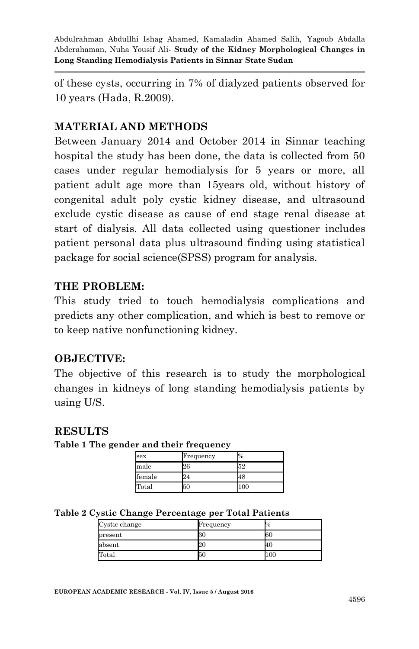of these cysts, occurring in 7% of dialyzed patients observed for 10 years (Hada, R.2009).

## **MATERIAL AND METHODS**

Between January 2014 and October 2014 in Sinnar teaching hospital the study has been done, the data is collected from 50 cases under regular hemodialysis for 5 years or more, all patient adult age more than 15years old, without history of congenital adult poly cystic kidney disease, and ultrasound exclude cystic disease as cause of end stage renal disease at start of dialysis. All data collected using questioner includes patient personal data plus ultrasound finding using statistical package for social science(SPSS) program for analysis.

#### **THE PROBLEM:**

This study tried to touch hemodialysis complications and predicts any other complication, and which is best to remove or to keep native nonfunctioning kidney.

#### **OBJECTIVE:**

The objective of this research is to study the morphological changes in kidneys of long standing hemodialysis patients by using U/S.

#### **RESULTS**

**Table 1 The gender and their frequency**

| sex    | Frequency | %   |  |
|--------|-----------|-----|--|
| male   | 26        | 52  |  |
| female | 24        | 48  |  |
| Total  | 50        | .00 |  |

|  |  |  | Table 2 Cystic Change Percentage per Total Patients |  |  |  |
|--|--|--|-----------------------------------------------------|--|--|--|
|--|--|--|-----------------------------------------------------|--|--|--|

| Cystic change | Frequency | 70  |  |
|---------------|-----------|-----|--|
| present       | 30        | 60  |  |
| absent        | ZU        | 40  |  |
| Total         | 50        | 100 |  |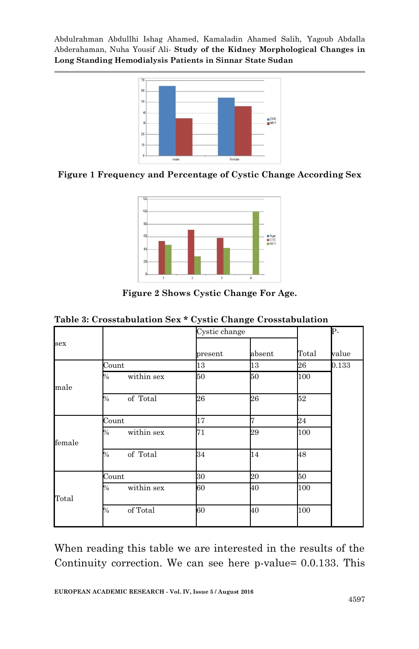

**Figure 1 Frequency and Percentage of Cystic Change According Sex**



**Figure 2 Shows Cystic Change For Age.**

|  |  |  | Table 3: Crosstabulation Sex * Cystic Change Crosstabulation |  |
|--|--|--|--------------------------------------------------------------|--|
|  |  |  |                                                              |  |

| sex    |                           | Cystic change |        |       | Þ-    |
|--------|---------------------------|---------------|--------|-------|-------|
|        |                           | present       | absent | Total | value |
|        | Count                     | 13            | 13     | 26    | 0.133 |
| male   | within sex<br>$\%$        | 50            | 50     | 100   |       |
|        | of Total<br>$\%$          | 26            | 26     | 52    |       |
|        | Count                     | 17            | 7      | 24    |       |
| female | $\%$<br>within sex        | 71            | 29     | 100   |       |
|        | of Total<br>$\%$          | 34            | 14     | 48    |       |
| Total  | Count                     | 30            | 20     | 50    |       |
|        | within sex<br>$\%$        | 60            | 40     | 100   |       |
|        | of Total<br>$\frac{0}{0}$ | 60            | 40     | 100   |       |

When reading this table we are interested in the results of the Continuity correction. We can see here p-value= 0.0.133. This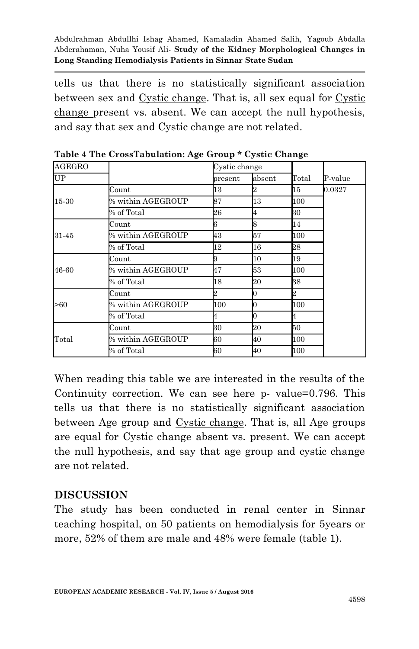tells us that there is no statistically significant association between sex and Cystic change. That is, all sex equal for Cystic change present vs. absent. We can accept the null hypothesis, and say that sex and Cystic change are not related.

| <b>AGEGRO</b> |                      | Cystic change |        |                         |         |
|---------------|----------------------|---------------|--------|-------------------------|---------|
| <b>UP</b>     |                      | present       | absent | Total                   | P-value |
|               | Count                | 13            |        | 15                      | 0.0327  |
| 15-30         | $\%$ within AGEGROUP | 87            | 13     | 100                     |         |
|               | % of Total           | 26            | 4      | 30                      |         |
|               | Count                | 6             | 8      | 14                      |         |
| 31-45         | $\%$ within AGEGROUP | 43            | 57     | 100                     |         |
|               | % of Total           | 12            | 16     | 28                      |         |
|               | Count                |               | 10     | 19                      |         |
| 46-60         | $\%$ within AGEGROUP | 47            | 53     | 100                     |         |
|               | % of Total           | 18            | 20     | 38                      |         |
|               | Count                | 2             | 0      | $\overline{\mathbf{2}}$ |         |
| >60           | $\%$ within AGEGROUP | 100           | 0      | 100                     |         |
|               | % of Total           | 4             | 0      | 4                       |         |
|               | Count                | 30            | 20     | 50                      |         |
| Total         | $\%$ within AGEGROUP | 60            | 40     | 100                     |         |
|               | % of Total           | 60            | 40     | 100                     |         |

**Table 4 The CrossTabulation: Age Group \* Cystic Change**

When reading this table we are interested in the results of the Continuity correction. We can see here p- value=0.796. This tells us that there is no statistically significant association between Age group and Cystic change. That is, all Age groups are equal for Cystic change absent vs. present. We can accept the null hypothesis, and say that age group and cystic change are not related.

## **DISCUSSION**

The study has been conducted in renal center in Sinnar teaching hospital, on 50 patients on hemodialysis for 5years or more, 52% of them are male and 48% were female (table 1).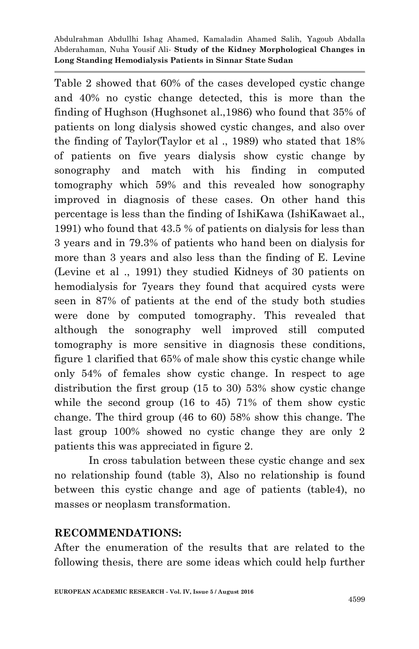Table 2 showed that 60% of the cases developed cystic change and 40% no cystic change detected, this is more than the finding of Hughson (Hughsonet al.,1986) who found that 35% of patients on long dialysis showed cystic changes, and also over the finding of Taylor(Taylor et al ., 1989) who stated that 18% of patients on five years dialysis show cystic change by sonography and match with his finding in computed tomography which 59% and this revealed how sonography improved in diagnosis of these cases. On other hand this percentage is less than the finding of IshiKawa (IshiKawaet al., 1991) who found that 43.5 % of patients on dialysis for less than 3 years and in 79.3% of patients who hand been on dialysis for more than 3 years and also less than the finding of E. Levine (Levine et al ., 1991) they studied Kidneys of 30 patients on hemodialysis for 7years they found that acquired cysts were seen in 87% of patients at the end of the study both studies were done by computed tomography. This revealed that although the sonography well improved still computed tomography is more sensitive in diagnosis these conditions, figure 1 clarified that 65% of male show this cystic change while only 54% of females show cystic change. In respect to age distribution the first group (15 to 30) 53% show cystic change while the second group (16 to 45) 71% of them show cystic change. The third group (46 to 60) 58% show this change. The last group 100% showed no cystic change they are only 2 patients this was appreciated in figure 2.

In cross tabulation between these cystic change and sex no relationship found (table 3), Also no relationship is found between this cystic change and age of patients (table4), no masses or neoplasm transformation.

#### **RECOMMENDATIONS:**

After the enumeration of the results that are related to the following thesis, there are some ideas which could help further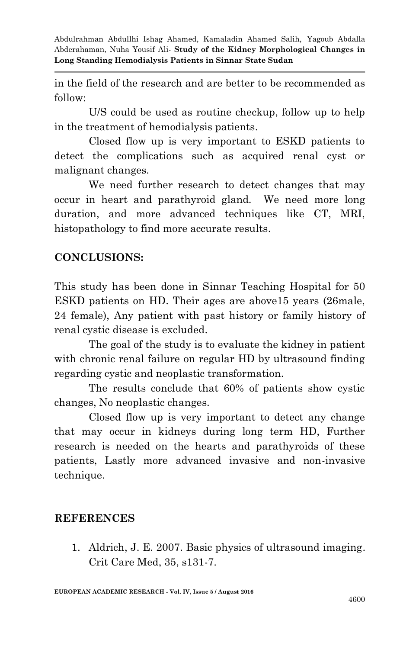in the field of the research and are better to be recommended as follow:

U/S could be used as routine checkup, follow up to help in the treatment of hemodialysis patients.

Closed flow up is very important to ESKD patients to detect the complications such as acquired renal cyst or malignant changes.

We need further research to detect changes that may occur in heart and parathyroid gland. We need more long duration, and more advanced techniques like CT, MRI, histopathology to find more accurate results.

## **CONCLUSIONS:**

This study has been done in Sinnar Teaching Hospital for 50 ESKD patients on HD. Their ages are above15 years (26male, 24 female), Any patient with past history or family history of renal cystic disease is excluded.

The goal of the study is to evaluate the kidney in patient with chronic renal failure on regular HD by ultrasound finding regarding cystic and neoplastic transformation.

The results conclude that 60% of patients show cystic changes, No neoplastic changes.

Closed flow up is very important to detect any change that may occur in kidneys during long term HD, Further research is needed on the hearts and parathyroids of these patients, Lastly more advanced invasive and non-invasive technique.

## **REFERENCES**

1. Aldrich, J. E. 2007. Basic physics of ultrasound imaging. Crit Care Med, 35, s131-7.